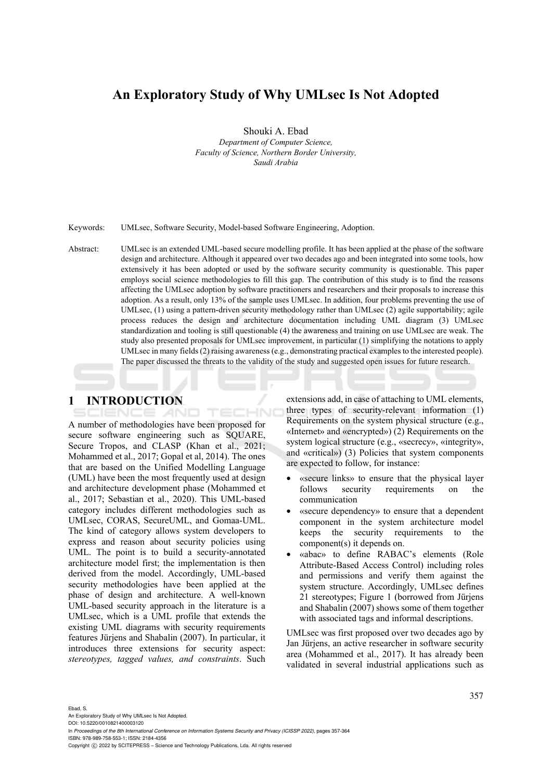# **An Exploratory Study of Why UMLsec Is Not Adopted**

Shouki A. Ebad

*Department of Computer Science, Faculty of Science, Northern Border University, Saudi Arabia* 

Keywords: UMLsec, Software Security, Model-based Software Engineering, Adoption.

Abstract: UMLsec is an extended UML-based secure modelling profile. It has been applied at the phase of the software design and architecture. Although it appeared over two decades ago and been integrated into some tools, how extensively it has been adopted or used by the software security community is questionable. This paper employs social science methodologies to fill this gap. The contribution of this study is to find the reasons affecting the UMLsec adoption by software practitioners and researchers and their proposals to increase this adoption. As a result, only 13% of the sample uses UMLsec. In addition, four problems preventing the use of UMLsec, (1) using a pattern-driven security methodology rather than UMLsec (2) agile supportability; agile process reduces the design and architecture documentation including UML diagram (3) UMLsec standardization and tooling is still questionable (4) the awareness and training on use UMLsec are weak. The study also presented proposals for UMLsec improvement, in particular (1) simplifying the notations to apply UMLsec in many fields (2) raising awareness (e.g., demonstrating practical examples to the interested people). The paper discussed the threats to the validity of the study and suggested open issues for future research.

# **1 INTRODUCTION**

IENCE *A*ND

TECHNO A number of methodologies have been proposed for secure software engineering such as SQUARE, Secure Tropos, and CLASP (Khan et al., 2021; Mohammed et al., 2017; Gopal et al, 2014). The ones that are based on the Unified Modelling Language (UML) have been the most frequently used at design and architecture development phase (Mohammed et al., 2017; Sebastian et al., 2020). This UML-based category includes different methodologies such as UMLsec, CORAS, SecureUML, and Gomaa-UML. The kind of category allows system developers to express and reason about security policies using UML. The point is to build a security-annotated architecture model first; the implementation is then derived from the model. Accordingly, UML-based security methodologies have been applied at the phase of design and architecture. A well-known UML-based security approach in the literature is a UMLsec, which is a UML profile that extends the existing UML diagrams with security requirements features Jürjens and Shabalin (2007). In particular, it introduces three extensions for security aspect: *stereotypes, tagged values, and constraints*. Such

extensions add, in case of attaching to UML elements, three types of security-relevant information (1) Requirements on the system physical structure (e.g., «Internet» and «encrypted») (2) Requirements on the system logical structure (e.g., «secrecy», «integrity», and «critical») (3) Policies that system components are expected to follow, for instance:

- «secure links» to ensure that the physical layer follows security requirements on the communication
- «secure dependency» to ensure that a dependent component in the system architecture model keeps the security requirements to the component(s) it depends on.
- «abac» to define RABAC's elements (Role Attribute-Based Access Control) including roles and permissions and verify them against the system structure. Accordingly, UMLsec defines 21 stereotypes; Figure 1 (borrowed from Jürjens and Shabalin (2007) shows some of them together with associated tags and informal descriptions.

UMLsec was first proposed over two decades ago by Jan Jürjens, an active researcher in software security area (Mohammed et al., 2017). It has already been validated in several industrial applications such as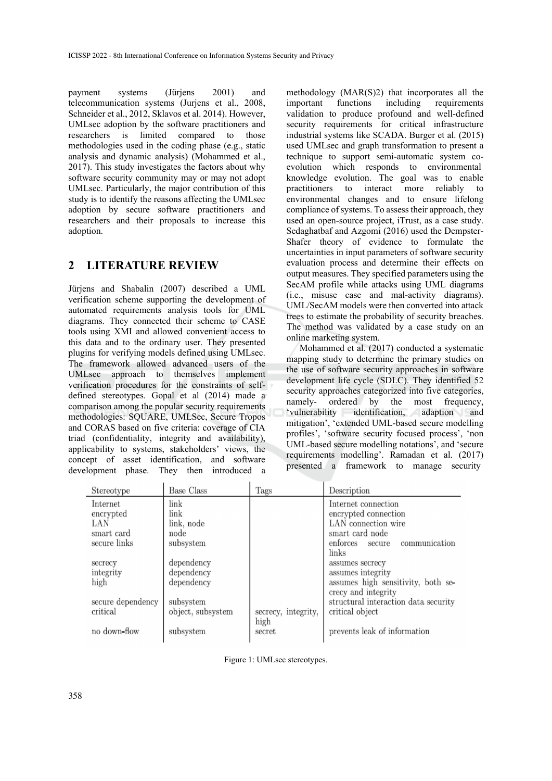payment systems (Jürjens 2001) and telecommunication systems (Jurjens et al., 2008, Schneider et al., 2012, Sklavos et al. 2014). However, UMLsec adoption by the software practitioners and researchers is limited compared to those methodologies used in the coding phase (e.g., static analysis and dynamic analysis) (Mohammed et al., 2017). This study investigates the factors about why software security community may or may not adopt UMLsec. Particularly, the major contribution of this study is to identify the reasons affecting the UMLsec adoption by secure software practitioners and researchers and their proposals to increase this adoption.

### **2 LITERATURE REVIEW**

Jürjens and Shabalin (2007) described a UML verification scheme supporting the development of automated requirements analysis tools for UML diagrams. They connected their scheme to CASE tools using XMI and allowed convenient access to this data and to the ordinary user. They presented plugins for verifying models defined using UMLsec. The framework allowed advanced users of the UMLsec approach to themselves implement verification procedures for the constraints of selfdefined stereotypes. Gopal et al (2014) made a comparison among the popular security requirements methodologies: SQUARE, UMLSec, Secure Tropos and CORAS based on five criteria: coverage of CIA triad (confidentiality, integrity and availability), applicability to systems, stakeholders' views, the concept of asset identification, and software development phase. They then introduced a

methodology (MAR(S)2) that incorporates all the important functions including requirements validation to produce profound and well-defined security requirements for critical infrastructure industrial systems like SCADA. Burger et al. (2015) used UMLsec and graph transformation to present a technique to support semi-automatic system coevolution which responds to environmental knowledge evolution. The goal was to enable practitioners to interact more reliably to environmental changes and to ensure lifelong compliance of systems.To assess their approach, they used an open-source project, iTrust, as a case study. Sedaghatbaf and Azgomi (2016) used the Dempster-Shafer theory of evidence to formulate the uncertainties in input parameters of software security evaluation process and determine their effects on output measures. They specified parameters using the SecAM profile while attacks using UML diagrams (i.e., misuse case and mal-activity diagrams). UML/SecAM models were then converted into attack trees to estimate the probability of security breaches. The method was validated by a case study on an online marketing system.

Mohammed et al. (2017) conducted a systematic mapping study to determine the primary studies on the use of software security approaches in software development life cycle (SDLC). They identified 52 security approaches categorized into five categories,<br>namely-ordered by the most frequency, ordered by the most 'vulnerability identification, adaption and mitigation', 'extended UML-based secure modelling profiles', 'software security focused process', 'non UML-based secure modelling notations', and 'secure requirements modelling'. Ramadan et al. (2017) presented a framework to manage security

| Stereotype        | <b>Base Class</b> | Tags                | Description                          |
|-------------------|-------------------|---------------------|--------------------------------------|
| Internet          | link              |                     | Internet connection                  |
| encrypted         | link              |                     | encrypted connection                 |
| LAN               | link, node        |                     | LAN connection wire                  |
| smart card        | node              |                     | smart card node                      |
| secure links      | subsystem         |                     | communication<br>enforces<br>secure  |
|                   |                   |                     | links                                |
| secrecy           | dependency        |                     | assumes secrecy                      |
| integrity         | dependency        |                     | assumes integrity                    |
| high              | dependency        |                     | assumes high sensitivity, both se-   |
|                   |                   |                     | crecy and integrity                  |
| secure dependency | subsystem         |                     | structural interaction data security |
| critical          | object, subsystem | secrecy, integrity, | critical object                      |
|                   |                   | high                |                                      |
| no down-flow      | subsystem         | secret              | prevents leak of information         |

Figure 1: UMLsec stereotypes.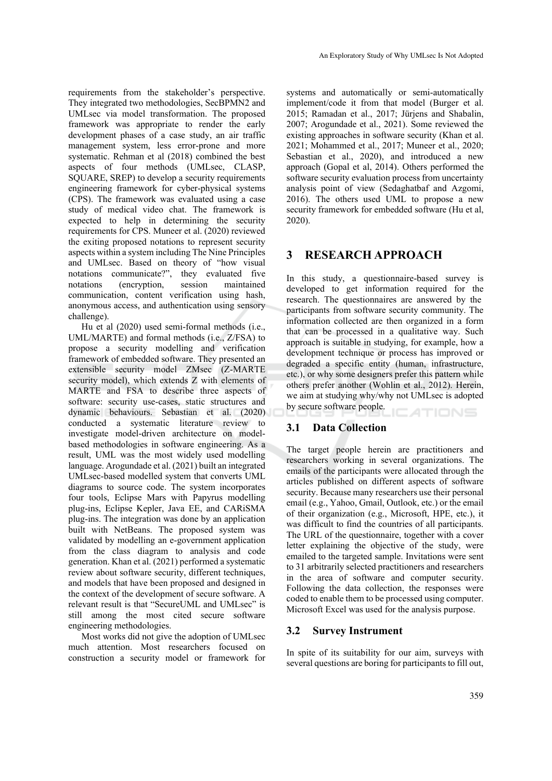requirements from the stakeholder's perspective. They integrated two methodologies, SecBPMN2 and UMLsec via model transformation. The proposed framework was appropriate to render the early development phases of a case study, an air traffic management system, less error-prone and more systematic. Rehman et al (2018) combined the best aspects of four methods (UMLsec, CLASP, SQUARE, SREP) to develop a security requirements engineering framework for cyber-physical systems (CPS). The framework was evaluated using a case study of medical video chat. The framework is expected to help in determining the security requirements for CPS. Muneer et al. (2020) reviewed the exiting proposed notations to represent security aspects within a system including The Nine Principles and UMLsec. Based on theory of "how visual notations communicate?", they evaluated five notations (encryption, session maintained communication, content verification using hash, anonymous access, and authentication using sensory challenge).

Hu et al (2020) used semi-formal methods (i.e., UML/MARTE) and formal methods (i.e., Z/FSA) to propose a security modelling and verification framework of embedded software. They presented an extensible security model ZMsec (Z-MARTE security model), which extends Z with elements of MARTE and FSA to describe three aspects of software: security use-cases, static structures and dynamic behaviours. Sebastian et al. (2020) conducted a systematic literature review to investigate model-driven architecture on modelbased methodologies in software engineering. As a result, UML was the most widely used modelling language. Arogundade et al. (2021) built an integrated UMLsec-based modelled system that converts UML diagrams to source code. The system incorporates four tools, Eclipse Mars with Papyrus modelling plug-ins, Eclipse Kepler, Java EE, and CARiSMA plug-ins. The integration was done by an application built with NetBeans. The proposed system was validated by modelling an e-government application from the class diagram to analysis and code generation. Khan et al. (2021) performed a systematic review about software security, different techniques, and models that have been proposed and designed in the context of the development of secure software. A relevant result is that "SecureUML and UMLsec" is still among the most cited secure software engineering methodologies.

Most works did not give the adoption of UMLsec much attention. Most researchers focused on construction a security model or framework for

systems and automatically or semi-automatically implement/code it from that model (Burger et al. 2015; Ramadan et al., 2017; Jürjens and Shabalin, 2007; Arogundade et al., 2021). Some reviewed the existing approaches in software security (Khan et al. 2021; Mohammed et al., 2017; Muneer et al., 2020; Sebastian et al., 2020), and introduced a new approach (Gopal et al, 2014). Others performed the software security evaluation process from uncertainty analysis point of view (Sedaghatbaf and Azgomi, 2016). The others used UML to propose a new security framework for embedded software (Hu et al, 2020).

# **3 RESEARCH APPROACH**

In this study, a questionnaire-based survey is developed to get information required for the research. The questionnaires are answered by the participants from software security community. The information collected are then organized in a form that can be processed in a qualitative way. Such approach is suitable in studying, for example, how a development technique or process has improved or degraded a specific entity (human, infrastructure, etc.), or why some designers prefer this pattern while others prefer another (Wohlin et al., 2012). Herein, we aim at studying why/why not UMLsec is adopted by secure software people. ATIONS

### **3.1 Data Collection**

The target people herein are practitioners and researchers working in several organizations. The emails of the participants were allocated through the articles published on different aspects of software security. Because many researchers use their personal email (e.g., Yahoo, Gmail, Outlook, etc.) or the email of their organization (e.g., Microsoft, HPE, etc.), it was difficult to find the countries of all participants. The URL of the questionnaire, together with a cover letter explaining the objective of the study, were emailed to the targeted sample. Invitations were sent to 31 arbitrarily selected practitioners and researchers in the area of software and computer security. Following the data collection, the responses were coded to enable them to be processed using computer. Microsoft Excel was used for the analysis purpose.

### **3.2 Survey Instrument**

In spite of its suitability for our aim, surveys with several questions are boring for participants to fill out,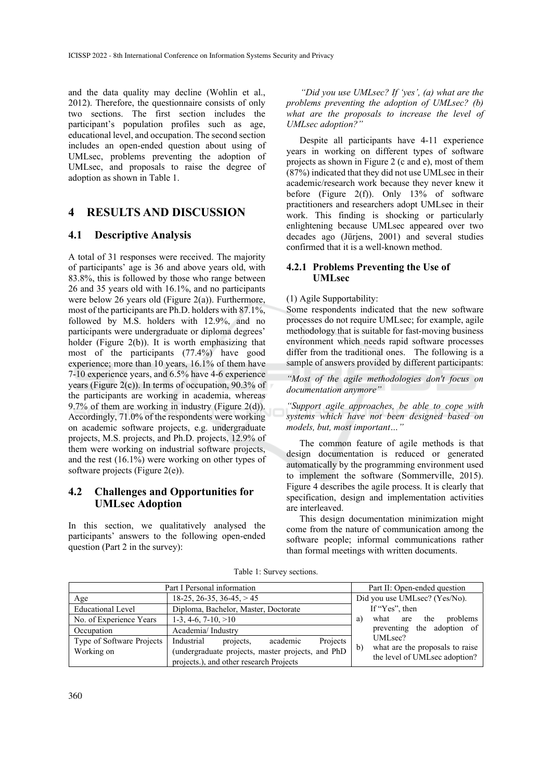and the data quality may decline (Wohlin et al., 2012). Therefore, the questionnaire consists of only two sections. The first section includes the participant's population profiles such as age, educational level, and occupation. The second section includes an open-ended question about using of UMLsec, problems preventing the adoption of UMLsec, and proposals to raise the degree of adoption as shown in Table 1.

# **4 RESULTS AND DISCUSSION**

### **4.1 Descriptive Analysis**

A total of 31 responses were received. The majority of participants' age is 36 and above years old, with 83.8%, this is followed by those who range between 26 and 35 years old with 16.1%, and no participants were below 26 years old (Figure 2(a)). Furthermore, most of the participants are Ph.D. holders with 87.1%, followed by M.S. holders with 12.9%, and no participants were undergraduate or diploma degrees' holder (Figure 2(b)). It is worth emphasizing that most of the participants (77.4%) have good experience; more than 10 years, 16.1% of them have 7-10 experience years, and 6.5% have 4-6 experience years (Figure 2(c)). In terms of occupation,  $90.3\%$  of the participants are working in academia, whereas 9.7% of them are working in industry (Figure 2(d)). Accordingly, 71.0% of the respondents were working on academic software projects, e.g. undergraduate projects, M.S. projects, and Ph.D. projects, 12.9% of them were working on industrial software projects, and the rest (16.1%) were working on other types of software projects (Figure 2(e)).

### **4.2 Challenges and Opportunities for UMLsec Adoption**

In this section, we qualitatively analysed the participants' answers to the following open-ended question (Part 2 in the survey):

*"Did you use UMLsec? If 'yes', (a) what are the problems preventing the adoption of UMLsec? (b) what are the proposals to increase the level of UMLsec adoption?"* 

Despite all participants have 4-11 experience years in working on different types of software projects as shown in Figure 2 (c and e), most of them (87%) indicated that they did not use UMLsec in their academic/research work because they never knew it before (Figure 2(f)). Only  $13\%$  of software practitioners and researchers adopt UMLsec in their work. This finding is shocking or particularly enlightening because UMLsec appeared over two decades ago (Jürjens, 2001) and several studies confirmed that it is a well-known method.

### **4.2.1 Problems Preventing the Use of UMLsec**

#### (1) Agile Supportability:

Some respondents indicated that the new software processes do not require UMLsec; for example, agile methodology that is suitable for fast-moving business environment which needs rapid software processes differ from the traditional ones. The following is a sample of answers provided by different participants:

*"Most of the agile methodologies don't focus on documentation anymore"* 

*"Support agile approaches, be able to cope with systems which have not been designed based on models, but, most important…"* 

The common feature of agile methods is that design documentation is reduced or generated automatically by the programming environment used to implement the software (Sommerville, 2015). Figure 4 describes the agile process. It is clearly that specification, design and implementation activities are interleaved.

This design documentation minimization might come from the nature of communication among the software people; informal communications rather than formal meetings with written documents.

| Part I Personal information | Part II: Open-ended question                      |                                                                                  |
|-----------------------------|---------------------------------------------------|----------------------------------------------------------------------------------|
| Age                         | $18-25$ , 26-35, 36-45, $> 45$                    | Did you use UMLsec? (Yes/No).                                                    |
| <b>Educational Level</b>    | Diploma, Bachelor, Master, Doctorate              | If "Yes", then<br>what are the problems<br>a)<br>preventing the adoption of      |
| No. of Experience Years     | $1-3, 4-6, 7-10, >10$                             |                                                                                  |
| Occupation                  | Academia/Industry                                 |                                                                                  |
| Type of Software Projects   | Industrial<br>projects,<br>Projects<br>academic   | UMLsec?                                                                          |
| Working on                  | (undergraduate projects, master projects, and PhD | what are the proposals to raise<br>$\mathbf{b}$<br>the level of UMLsec adoption? |
|                             | projects.), and other research Projects           |                                                                                  |

Table 1: Survey sections.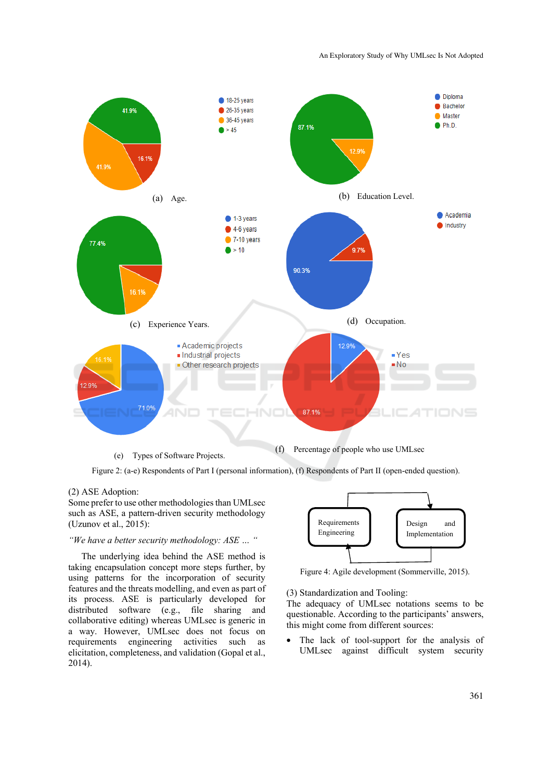

Figure 2: (a-e) Respondents of Part I (personal information), (f) Respondents of Part II (open-ended question).

#### (2) ASE Adoption:

Some prefer to use other methodologies than UMLsec such as ASE, a pattern-driven security methodology (Uzunov et al., 2015):

#### *"We have a better security methodology: ASE … "*

The underlying idea behind the ASE method is taking encapsulation concept more steps further, by using patterns for the incorporation of security features and the threats modelling, and even as part of its process. ASE is particularly developed for distributed software (e.g., file sharing and collaborative editing) whereas UMLsec is generic in a way. However, UMLsec does not focus on requirements engineering activities such as elicitation, completeness, and validation (Gopal et al., 2014).



Figure 4: Agile development (Sommerville, 2015).

(3) Standardization and Tooling:

The adequacy of UMLsec notations seems to be questionable. According to the participants' answers, this might come from different sources:

• The lack of tool-support for the analysis of UMLsec against difficult system security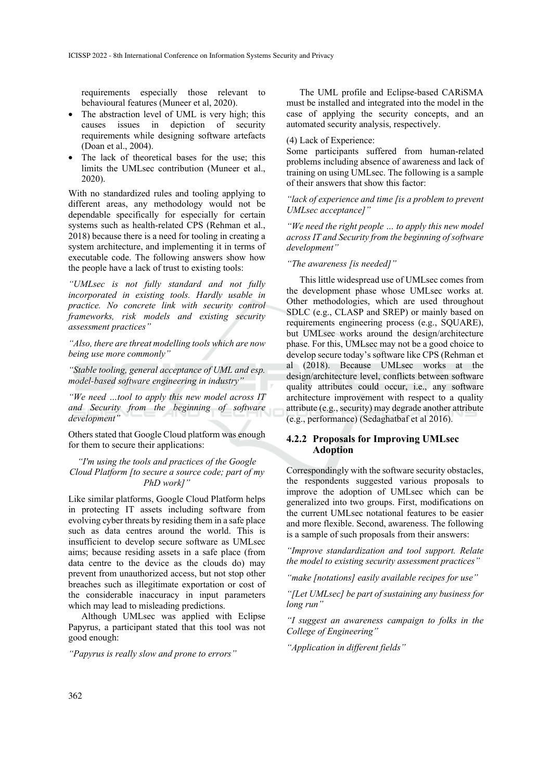requirements especially those relevant to behavioural features (Muneer et al, 2020).

- The abstraction level of UML is very high; this causes issues in depiction of security requirements while designing software artefacts (Doan et al., 2004).
- The lack of theoretical bases for the use; this limits the UMLsec contribution (Muneer et al., 2020).

With no standardized rules and tooling applying to different areas, any methodology would not be dependable specifically for especially for certain systems such as health-related CPS (Rehman et al., 2018) because there is a need for tooling in creating a system architecture, and implementing it in terms of executable code. The following answers show how the people have a lack of trust to existing tools:

*"UMLsec is not fully standard and not fully incorporated in existing tools. Hardly usable in practice. No concrete link with security control frameworks, risk models and existing security assessment practices"*

*"Also, there are threat modelling tools which are now being use more commonly"*

*"Stable tooling, general acceptance of UML and esp. model-based software engineering in industry"*

*"We need …tool to apply this new model across IT and Security from the beginning of software development"*

Others stated that Google Cloud platform was enough for them to secure their applications:

*"I'm using the tools and practices of the Google Cloud Platform [to secure a source code; part of my PhD work]"* 

Like similar platforms, Google Cloud Platform helps in protecting IT assets including software from evolving cyber threats by residing them in a safe place such as data centres around the world. This is insufficient to develop secure software as UMLsec aims; because residing assets in a safe place (from data centre to the device as the clouds do) may prevent from unauthorized access, but not stop other breaches such as illegitimate exportation or cost of the considerable inaccuracy in input parameters which may lead to misleading predictions.

Although UMLsec was applied with Eclipse Papyrus, a participant stated that this tool was not good enough:

*"Papyrus is really slow and prone to errors"*

The UML profile and Eclipse-based CARiSMA must be installed and integrated into the model in the case of applying the security concepts, and an automated security analysis, respectively.

#### (4) Lack of Experience:

Some participants suffered from human-related problems including absence of awareness and lack of training on using UMLsec. The following is a sample of their answers that show this factor:

*"lack of experience and time [is a problem to prevent UMLsec acceptance]"*

*"We need the right people … to apply this new model across IT and Security from the beginning of software development"*

#### *"The awareness [is needed]"*

This little widespread use of UMLsec comes from the development phase whose UMLsec works at. Other methodologies, which are used throughout SDLC (e.g., CLASP and SREP) or mainly based on requirements engineering process (e.g., SQUARE), but UMLsec works around the design/architecture phase. For this, UMLsec may not be a good choice to develop secure today's software like CPS (Rehman et al (2018). Because UMLsec works at the design/architecture level, conflicts between software quality attributes could occur, i.e., any software architecture improvement with respect to a quality attribute (e.g., security) may degrade another attribute (e.g., performance) (Sedaghatbaf et al 2016).

#### **4.2.2 Proposals for Improving UMLsec Adoption**

Correspondingly with the software security obstacles, the respondents suggested various proposals to improve the adoption of UMLsec which can be generalized into two groups. First, modifications on the current UMLsec notational features to be easier and more flexible. Second, awareness. The following is a sample of such proposals from their answers:

*"Improve standardization and tool support. Relate the model to existing security assessment practices"*

*"make [notations] easily available recipes for use"*

*"[Let UMLsec] be part of sustaining any business for long run"*

*"I suggest an awareness campaign to folks in the College of Engineering"* 

*"Application in different fields"*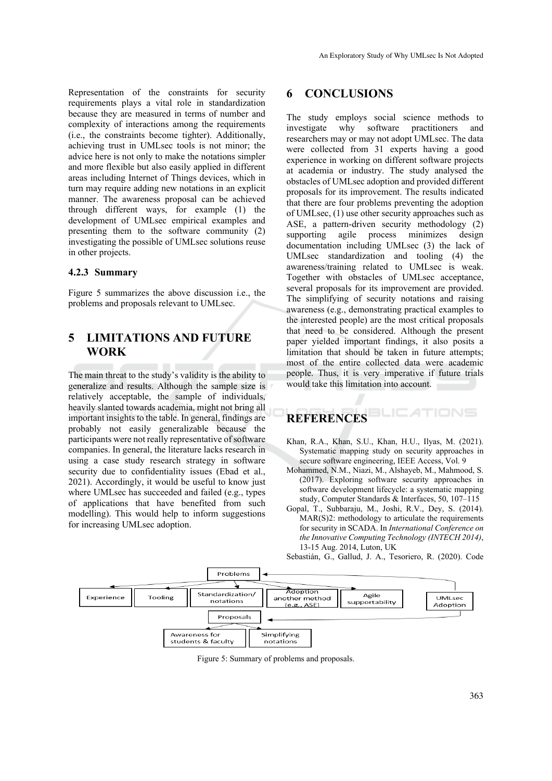Representation of the constraints for security requirements plays a vital role in standardization because they are measured in terms of number and complexity of interactions among the requirements (i.e., the constraints become tighter). Additionally, achieving trust in UMLsec tools is not minor; the advice here is not only to make the notations simpler and more flexible but also easily applied in different areas including Internet of Things devices, which in turn may require adding new notations in an explicit manner. The awareness proposal can be achieved through different ways, for example (1) the development of UMLsec empirical examples and presenting them to the software community (2) investigating the possible of UMLsec solutions reuse in other projects.

#### **4.2.3 Summary**

Figure 5 summarizes the above discussion i.e., the problems and proposals relevant to UMLsec.

# **5 LIMITATIONS AND FUTURE WORK**

The main threat to the study's validity is the ability to generalize and results. Although the sample size is relatively acceptable, the sample of individuals, heavily slanted towards academia, might not bring all important insights to the table. In general, findings are probably not easily generalizable because the participants were not really representative of software companies. In general, the literature lacks research in using a case study research strategy in software security due to confidentiality issues (Ebad et al., 2021). Accordingly, it would be useful to know just where UMLsec has succeeded and failed (e.g., types of applications that have benefited from such modelling). This would help to inform suggestions for increasing UMLsec adoption.

### **6 CONCLUSIONS**

The study employs social science methods to investigate why software practitioners and researchers may or may not adopt UMLsec. The data were collected from 31 experts having a good experience in working on different software projects at academia or industry. The study analysed the obstacles of UMLsec adoption and provided different proposals for its improvement. The results indicated that there are four problems preventing the adoption of UMLsec, (1) use other security approaches such as ASE, a pattern-driven security methodology (2) supporting agile process minimizes design documentation including UMLsec (3) the lack of UMLsec standardization and tooling (4) the awareness/training related to UMLsec is weak. Together with obstacles of UMLsec acceptance, several proposals for its improvement are provided. The simplifying of security notations and raising awareness (e.g., demonstrating practical examples to the interested people) are the most critical proposals that need to be considered. Although the present paper yielded important findings, it also posits a limitation that should be taken in future attempts; most of the entire collected data were academic people. Thus, it is very imperative if future trials would take this limitation into account.

#### TIONS **REFERENCES**

- Khan, R.A., Khan, S.U., Khan, H.U., Ilyas, M. (2021). Systematic mapping study on security approaches in secure software engineering, IEEE Access, Vol. 9
- Mohammed, N.M., Niazi, M., Alshayeb, M., Mahmood, S. (2017). Exploring software security approaches in software development lifecycle: a systematic mapping study, Computer Standards & Interfaces, 50, 107–115
- Gopal, T., Subbaraju, M., Joshi, R.V., Dey, S. (2014). MAR(S)2: methodology to articulate the requirements for security in SCADA. In *International Conference on the Innovative Computing Technology (INTECH 2014)*, 13-15 Aug. 2014, Luton, UK



Sebastián, G., Gallud, J. A., Tesoriero, R. (2020). Code

Figure 5: Summary of problems and proposals.